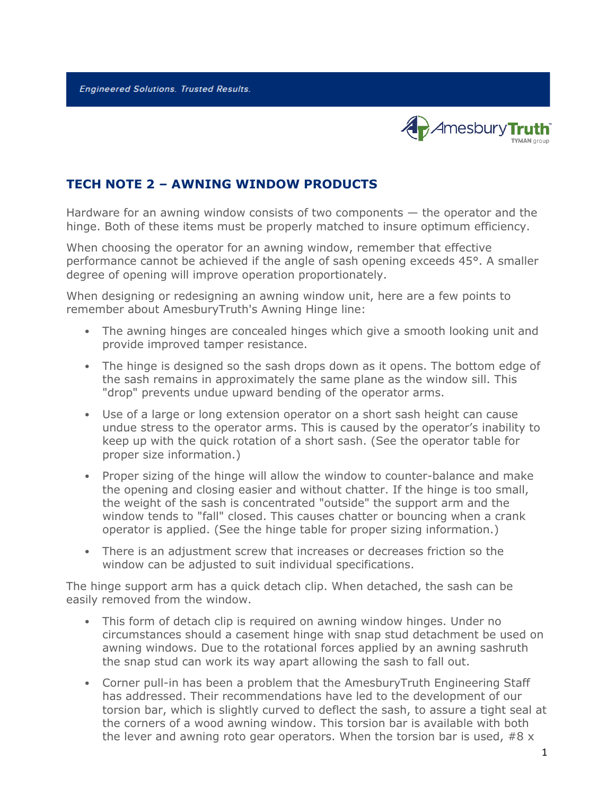**Engineered Solutions. Trusted Results.** 



## **TECH NOTE 2 – AWNING WINDOW PRODUCTS**

Hardware for an awning window consists of two components — the operator and the hinge. Both of these items must be properly matched to insure optimum efficiency.

When choosing the operator for an awning window, remember that effective performance cannot be achieved if the angle of sash opening exceeds 45°. A smaller degree of opening will improve operation proportionately.

When designing or redesigning an awning window unit, here are a few points to remember about AmesburyTruth's Awning Hinge line:

- The awning hinges are concealed hinges which give a smooth looking unit and provide improved tamper resistance.
- The hinge is designed so the sash drops down as it opens. The bottom edge of the sash remains in approximately the same plane as the window sill. This "drop" prevents undue upward bending of the operator arms.
- Use of a large or long extension operator on a short sash height can cause undue stress to the operator arms. This is caused by the operator's inability to keep up with the quick rotation of a short sash. (See the operator table for proper size information.)
- Proper sizing of the hinge will allow the window to counter-balance and make the opening and closing easier and without chatter. If the hinge is too small, the weight of the sash is concentrated "outside" the support arm and the window tends to "fall" closed. This causes chatter or bouncing when a crank operator is applied. (See the hinge table for proper sizing information.)
- There is an adjustment screw that increases or decreases friction so the window can be adjusted to suit individual specifications.

The hinge support arm has a quick detach clip. When detached, the sash can be easily removed from the window.

- This form of detach clip is required on awning window hinges. Under no circumstances should a casement hinge with snap stud detachment be used on awning windows. Due to the rotational forces applied by an awning sashruth the snap stud can work its way apart allowing the sash to fall out.
- Corner pull-in has been a problem that the AmesburyTruth Engineering Staff has addressed. Their recommendations have led to the development of our torsion bar, which is slightly curved to deflect the sash, to assure a tight seal at the corners of a wood awning window. This torsion bar is available with both the lever and awning roto gear operators. When the torsion bar is used,  $#8 \times$